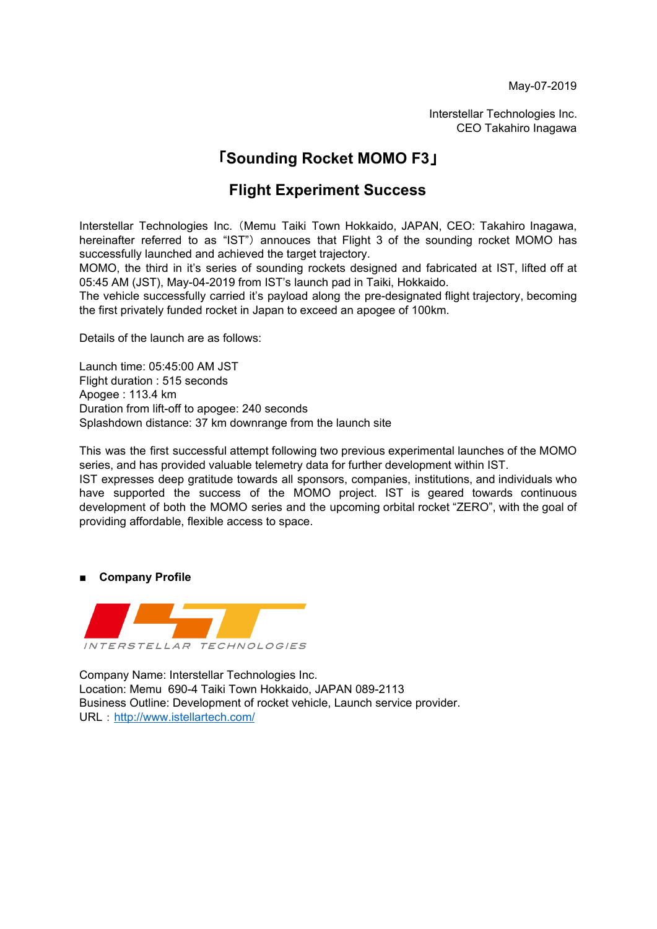May-07-2019

Interstellar Technologies Inc. CEO Takahiro Inagawa

## 「**Sounding Rocket MOMO F3**」

## **Flight Experiment Success**

Interstellar Technologies Inc.(Memu Taiki Town Hokkaido, JAPAN, CEO: Takahiro Inagawa, hereinafter referred to as "IST") annouces that Flight 3 of the sounding rocket MOMO has successfully launched and achieved the target trajectory.

MOMO, the third in it's series of sounding rockets designed and fabricated at IST, lifted off at 05:45 AM (JST), May-04-2019 from IST's launch pad in Taiki, Hokkaido.

The vehicle successfully carried it's payload along the pre-designated flight trajectory, becoming the first privately funded rocket in Japan to exceed an apogee of 100km.

Details of the launch are as follows:

Launch time: 05:45:00 AM JST Flight duration : 515 seconds Apogee : 113.4 km Duration from lift-off to apogee: 240 seconds Splashdown distance: 37 km downrange from the launch site

This was the first successful attempt following two previous experimental launches of the MOMO series, and has provided valuable telemetry data for further development within IST.

IST expresses deep gratitude towards all sponsors, companies, institutions, and individuals who have supported the success of the MOMO project. IST is geared towards continuous development of both the MOMO series and the upcoming orbital rocket "ZERO", with the goal of providing affordable, flexible access to space.

**■ Company Profile**



Company Name: Interstellar Technologies Inc. Location: Memu 690-4 Taiki Town Hokkaido, JAPAN 089-2113 Business Outline: Development of rocket vehicle, Launch service provider. URL: <http://www.istellartech.com/>